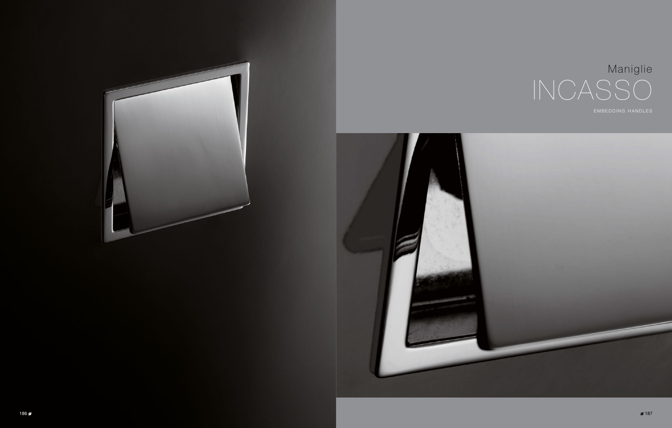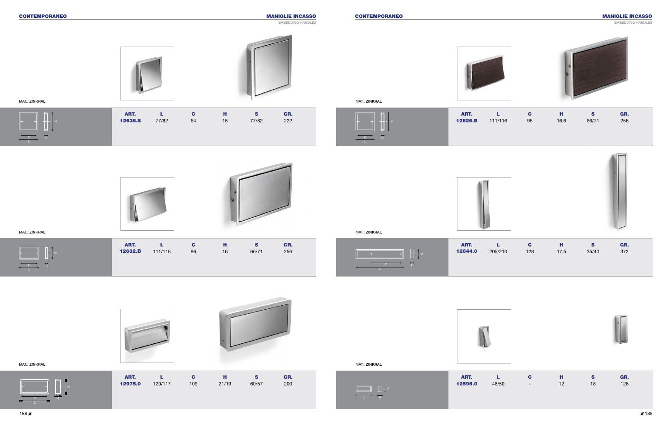ART. L C H S GR. 12975.0 120/117 109 21/19 60/57 200



MAT.: ZINKRAL



## CONTEMPORANEO CONTEMPORANEO MANIGLIE INCASSO

EMBEDDING HANDLES







MAT.: ZINKRAL

MAT.: ZINKRAL

MANIGLIE INCASSO

embedding handles



ART. L C H S GR. 12635.S 77/82 64 15 77/82 222



C H L

| ART.<br>2596.0 | L<br>48/50 | C | н<br>12 | $\mathbf{s}$<br>18 | GR.<br>126 |  |
|----------------|------------|---|---------|--------------------|------------|--|

| ART.<br>2644.0 | 205/210 | C.<br>128 | н<br>17,5 | S<br>35/40 | GR.<br>372 |  |
|----------------|---------|-----------|-----------|------------|------------|--|
|                |         |           |           |            |            |  |

| ART.   |         |    |      |       | GR. |
|--------|---------|----|------|-------|-----|
| 2626.B | 111/116 | 96 | 16.6 | 66/71 | 256 |











12626.**B** 



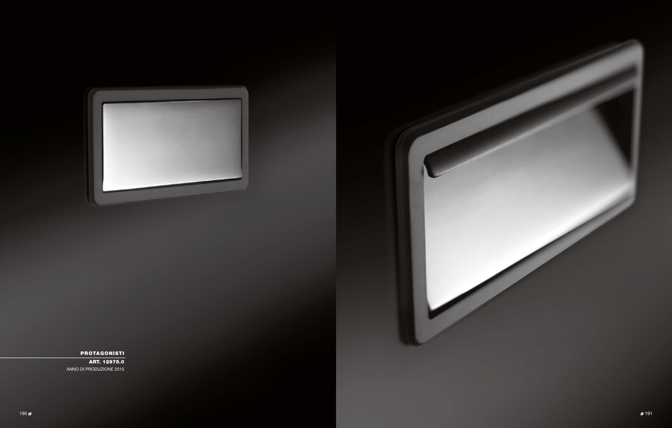



# PROTAGONISTI

ART. 12975.0 ANNO DI PRODUZIONE 2015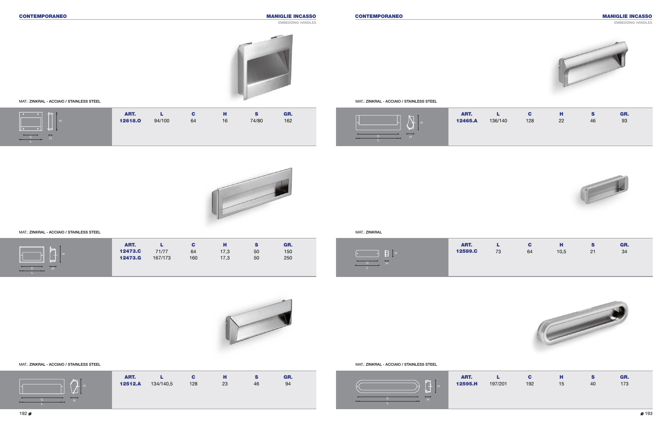## MAT.: ZINKRAL - ACCIAIO / STAINLESS STEEL

MAT.: ZINKRAL - ACCIAIO / STAINLESS STEEL

MAT.: ZINKRAL - ACCIAIO / STAINLESS STEEL





| ART.   |         |     |    |    | GR. |  |
|--------|---------|-----|----|----|-----|--|
| 2595.H | 197/201 | 192 | 15 | 40 | 173 |  |





| ART.   |    | C. | н    | S  | GR. |  |
|--------|----|----|------|----|-----|--|
| 2589.C | 73 | 64 | 10,5 | 21 | 34  |  |
|        |    |    |      |    |     |  |
|        |    |    |      |    |     |  |
|        |    |    |      |    |     |  |



| ART.   |         | C.  | н  | S  | GR. |  |
|--------|---------|-----|----|----|-----|--|
| 2465.A | 136/140 | 128 | 22 | 46 | 93  |  |
|        |         |     |    |    |     |  |
|        |         |     |    |    |     |  |
|        |         |     |    |    |     |  |





| ART. |                   | C.  | н  | s  | GR. |  |
|------|-------------------|-----|----|----|-----|--|
|      | 12512.A 134/140,5 | 128 | 23 | 46 | 94  |  |

## MAT.: ZINKRAL - ACCIAIO / STAINLESS STEEL NATURE AND STAINLESS STEEL AND STAINLESS STEEL AND STAINLESS STEEL THE STAINLESS STEEL



| .<br>_____               |         |         |     |      |    |     |  |
|--------------------------|---------|---------|-----|------|----|-----|--|
|                          | ART.    |         | С   | н    | s  | GR. |  |
| (your<br>- 00            | 12473.C | 71/77   | 64  | 17,3 | 50 | 150 |  |
| mm                       | 12473.G | 167/173 | 160 | 17,3 | 50 | 250 |  |
| $\overline{\phantom{a}}$ |         |         |     |      |    |     |  |







H



L C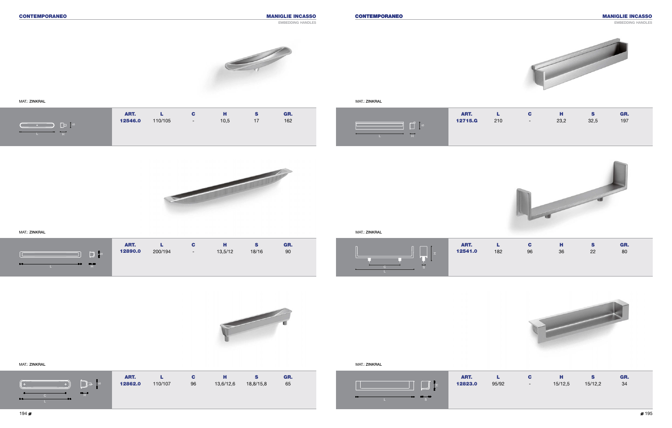### EMBEDDING HANDLES



MAT.: ZINKRAL



MAT.: ZINKRAL

| ART.   |         |    | н         | S         | GR. |
|--------|---------|----|-----------|-----------|-----|
| 2862.0 | 110/107 | 96 | 13,6/12,6 | 18.8/15.8 | 65  |
|        |         |    |           |           |     |

#### MAT.: ZINKRAL





MAT.: ZINKRAL

### MAT.: ZINKRAL







|       |                       | ART.    |         | С                        | п       |       | GR. |
|-------|-----------------------|---------|---------|--------------------------|---------|-------|-----|
|       | $\sqrt{2}$<br>း<br>ဖြ | 12890.0 | 200/194 | $\overline{\phantom{a}}$ | 13,5/12 | 18/16 | 90  |
| ستتعب | 66-61                 |         |         |                          |         |       |     |

| ART.   |     | С  | н  | s  | GR. |  |
|--------|-----|----|----|----|-----|--|
| 2541.0 | 182 | 96 | 36 | 22 | 80  |  |
|        |     |    |    |    |     |  |
|        |     |    |    |    |     |  |





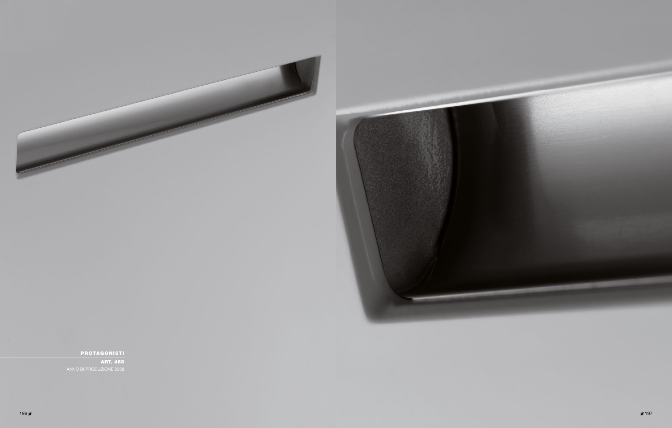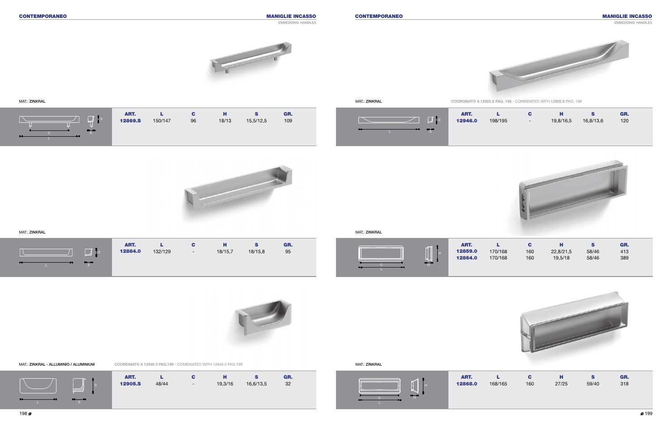MAT.: ZINKRAL - ALLUMINIO / ALUMINIUM

MAT.: ZINKRAL

| ART.   |         |     | ш     |       | GR. |
|--------|---------|-----|-------|-------|-----|
| 2868.0 | 168/165 | 160 | 27/25 | 59/40 | 318 |





ART. L C H S GR. **12905.S** 48/44 - 19,3/16 16,6/13,5 32 MAT.: ZINKRAL

| ART.   |         | С   | н         | S     | GR. |
|--------|---------|-----|-----------|-------|-----|
| 2859.0 | 170/168 | 160 | 22,8/21,5 | 58/46 | 413 |
| 2864.0 | 170/168 | 160 | 19.5/18   | 58/46 | 389 |
|        |         |     |           |       |     |



| ART.   |         | c                        | н         |           | GR. |
|--------|---------|--------------------------|-----------|-----------|-----|
| 2946.0 | 198/195 | $\overline{\phantom{0}}$ | 19,8/16,5 | 16,8/13,6 | 120 |



## CONTEMPORANEO CONTEMPORANEO MANIGLIE INCASSO



#### MAT.: ZINKRAL





| ART.    |         | C                        | н       | s       | GR. |
|---------|---------|--------------------------|---------|---------|-----|
| 12884.0 | 132/129 | $\overline{\phantom{0}}$ | 18/15,7 | 18/15,8 | 95  |
|         |         |                          |         |         |     |
|         |         |                          |         |         |     |

## MAT.: ZINKRAL

| $\pm$ | ART.<br><b>12869.S</b> | 150/147 | С<br>96 | н<br>18/13 | S<br>15,5/12,5 | GR.<br>109 |  |
|-------|------------------------|---------|---------|------------|----------------|------------|--|
|       |                        |         |         |            |                |            |  |

#### embedding handles











COORDINATO A 12905.S PAG. 198 - COMBINATED WITH 12905.S PAG. 198





COORDINATO A 12946.0 PAG.199 - COMBINATED WITH 12946.0 PAG.199